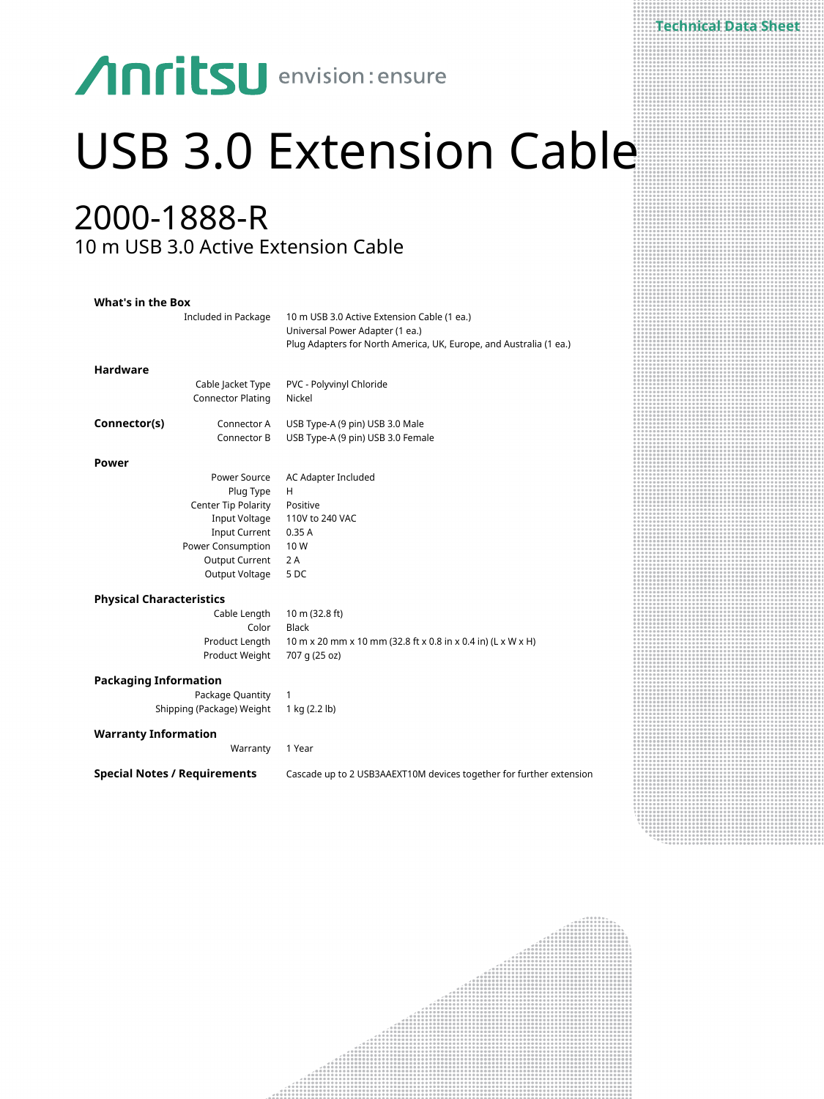## **Technical Data Sheet**

# Anritsu envision: ensure

# USB 3.0 Extension Cable

## 2000-1888-R 10 m USB 3.0 Active Extension Cable

| <b>What's in the Box</b>                                                                                                                                  |                                                                                                                                                      |
|-----------------------------------------------------------------------------------------------------------------------------------------------------------|------------------------------------------------------------------------------------------------------------------------------------------------------|
| Included in Package                                                                                                                                       | 10 m USB 3.0 Active Extension Cable (1 ea.)<br>Universal Power Adapter (1 ea.)<br>Plug Adapters for North America, UK, Europe, and Australia (1 ea.) |
| <b>Hardware</b>                                                                                                                                           |                                                                                                                                                      |
| Cable Jacket Type<br><b>Connector Plating</b>                                                                                                             | PVC - Polyvinyl Chloride<br>Nickel                                                                                                                   |
| Connector(s)<br>Connector A<br>Connector B                                                                                                                | USB Type-A (9 pin) USB 3.0 Male<br>USB Type-A (9 pin) USB 3.0 Female                                                                                 |
| Power                                                                                                                                                     |                                                                                                                                                      |
| Power Source<br>Plug Type<br>Center Tip Polarity<br>Input Voltage<br><b>Input Current</b><br>Power Consumption<br><b>Output Current</b><br>Output Voltage | AC Adapter Included<br>H<br>Positive<br>110V to 240 VAC<br>0.35A<br>10W<br>2A<br>5DC                                                                 |
| <b>Physical Characteristics</b>                                                                                                                           |                                                                                                                                                      |
| Cable Length<br>Color<br>Product Length<br>Product Weight                                                                                                 | 10 m (32.8 ft)<br>Black<br>10 m x 20 mm x 10 mm (32.8 ft x 0.8 in x 0.4 in) (L x W x H)<br>707 g (25 oz)                                             |
| <b>Packaging Information</b>                                                                                                                              |                                                                                                                                                      |
| Package Quantity<br>Shipping (Package) Weight                                                                                                             | 1<br>1 kg (2.2 lb)                                                                                                                                   |
| <b>Warranty Information</b>                                                                                                                               |                                                                                                                                                      |
| Warranty                                                                                                                                                  | 1 Year                                                                                                                                               |
| <b>Special Notes / Requirements</b>                                                                                                                       | Cascade up to 2 USB3AAEXT10M devices together for further extension                                                                                  |